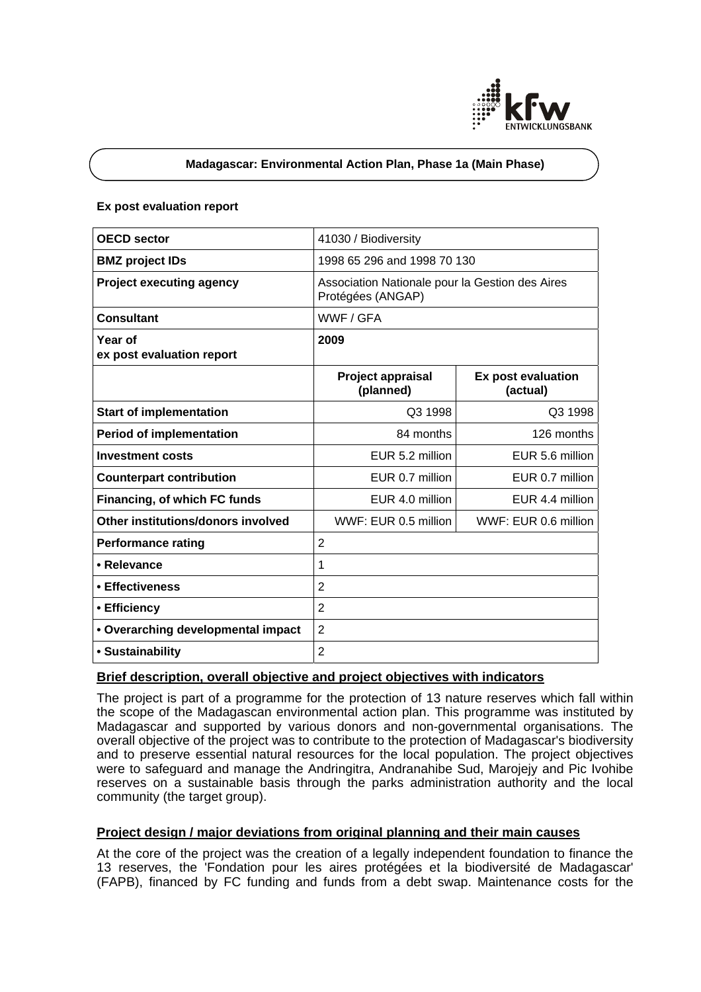

# **Madagascar: Environmental Action Plan, Phase 1a (Main Phase)**

#### **Ex post evaluation report**

| <b>OECD</b> sector                   | 41030 / Biodiversity                                                 |                                       |
|--------------------------------------|----------------------------------------------------------------------|---------------------------------------|
| <b>BMZ</b> project IDs               | 1998 65 296 and 1998 70 130                                          |                                       |
| <b>Project executing agency</b>      | Association Nationale pour la Gestion des Aires<br>Protégées (ANGAP) |                                       |
| <b>Consultant</b>                    | WWF / GFA                                                            |                                       |
| Year of<br>ex post evaluation report | 2009                                                                 |                                       |
|                                      | Project appraisal<br>(planned)                                       | <b>Ex post evaluation</b><br>(actual) |
| <b>Start of implementation</b>       | Q3 1998                                                              | Q3 1998                               |
| <b>Period of implementation</b>      | 84 months                                                            | 126 months                            |
| <b>Investment costs</b>              | EUR 5.2 million                                                      | EUR 5.6 million                       |
| <b>Counterpart contribution</b>      | EUR 0.7 million                                                      | EUR 0.7 million                       |
| Financing, of which FC funds         | EUR 4.0 million                                                      | EUR 4.4 million                       |
| Other institutions/donors involved   | WWF: EUR 0.5 million                                                 | WWF: EUR 0.6 million                  |
| <b>Performance rating</b>            | $\overline{2}$                                                       |                                       |
| • Relevance                          | $\mathbf 1$                                                          |                                       |
| • Effectiveness                      | $\overline{2}$                                                       |                                       |
| • Efficiency                         | $\overline{2}$                                                       |                                       |
| • Overarching developmental impact   | $\overline{2}$                                                       |                                       |
| · Sustainability                     | $\overline{2}$                                                       |                                       |

# **Brief description, overall objective and project objectives with indicators**

The project is part of a programme for the protection of 13 nature reserves which fall within the scope of the Madagascan environmental action plan. This programme was instituted by Madagascar and supported by various donors and non-governmental organisations. The overall objective of the project was to contribute to the protection of Madagascar's biodiversity and to preserve essential natural resources for the local population. The project objectives were to safeguard and manage the Andringitra, Andranahibe Sud, Marojejy and Pic Ivohibe reserves on a sustainable basis through the parks administration authority and the local community (the target group).

# **Project design / major deviations from original planning and their main causes**

At the core of the project was the creation of a legally independent foundation to finance the 13 reserves, the 'Fondation pour les aires protégées et la biodiversité de Madagascar' (FAPB), financed by FC funding and funds from a debt swap. Maintenance costs for the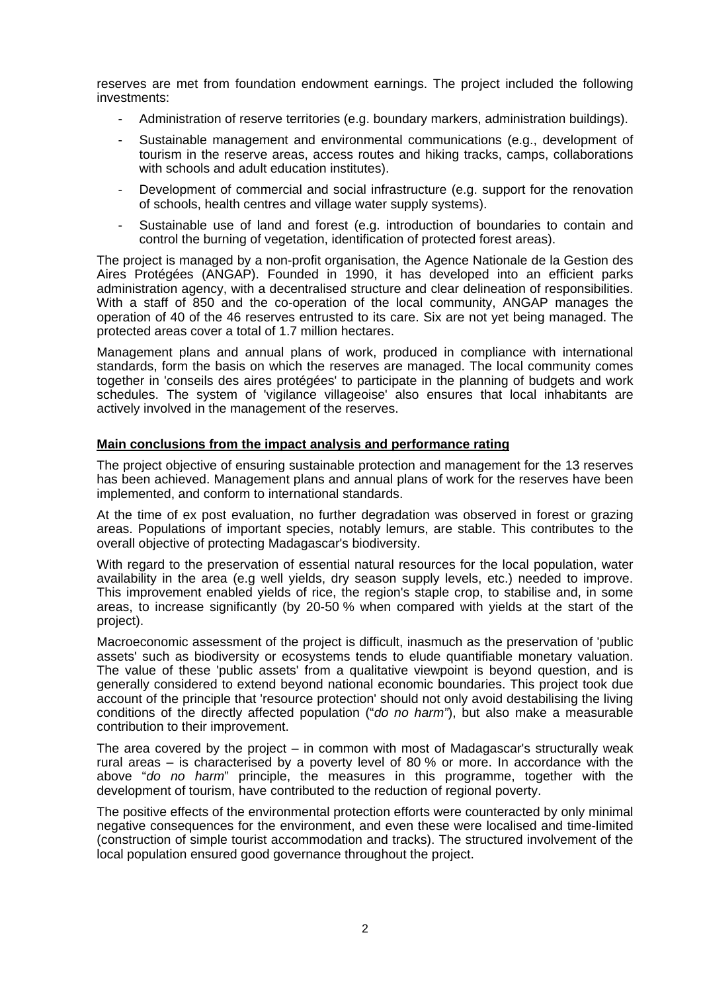reserves are met from foundation endowment earnings. The project included the following investments:

- Administration of reserve territories (e.g. boundary markers, administration buildings).
- Sustainable management and environmental communications (e.g., development of tourism in the reserve areas, access routes and hiking tracks, camps, collaborations with schools and adult education institutes).
- Development of commercial and social infrastructure (e.g. support for the renovation of schools, health centres and village water supply systems).
- Sustainable use of land and forest (e.g. introduction of boundaries to contain and control the burning of vegetation, identification of protected forest areas).

The project is managed by a non-profit organisation, the Agence Nationale de la Gestion des Aires Protégées (ANGAP). Founded in 1990, it has developed into an efficient parks administration agency, with a decentralised structure and clear delineation of responsibilities. With a staff of 850 and the co-operation of the local community, ANGAP manages the operation of 40 of the 46 reserves entrusted to its care. Six are not yet being managed. The protected areas cover a total of 1.7 million hectares.

Management plans and annual plans of work, produced in compliance with international standards, form the basis on which the reserves are managed. The local community comes together in 'conseils des aires protégées' to participate in the planning of budgets and work schedules. The system of 'vigilance villageoise' also ensures that local inhabitants are actively involved in the management of the reserves.

### **Main conclusions from the impact analysis and performance rating**

The project objective of ensuring sustainable protection and management for the 13 reserves has been achieved. Management plans and annual plans of work for the reserves have been implemented, and conform to international standards.

At the time of ex post evaluation, no further degradation was observed in forest or grazing areas. Populations of important species, notably lemurs, are stable. This contributes to the overall objective of protecting Madagascar's biodiversity.

With regard to the preservation of essential natural resources for the local population, water availability in the area (e.g well yields, dry season supply levels, etc.) needed to improve. This improvement enabled yields of rice, the region's staple crop, to stabilise and, in some areas, to increase significantly (by 20-50 % when compared with yields at the start of the project).

Macroeconomic assessment of the project is difficult, inasmuch as the preservation of 'public assets' such as biodiversity or ecosystems tends to elude quantifiable monetary valuation. The value of these 'public assets' from a qualitative viewpoint is beyond question, and is generally considered to extend beyond national economic boundaries. This project took due account of the principle that 'resource protection' should not only avoid destabilising the living conditions of the directly affected population ("*do no harm"*), but also make a measurable contribution to their improvement.

The area covered by the project – in common with most of Madagascar's structurally weak rural areas – is characterised by a poverty level of 80 % or more. In accordance with the above "*do no harm*" principle, the measures in this programme, together with the development of tourism, have contributed to the reduction of regional poverty.

The positive effects of the environmental protection efforts were counteracted by only minimal negative consequences for the environment, and even these were localised and time-limited (construction of simple tourist accommodation and tracks). The structured involvement of the local population ensured good governance throughout the project.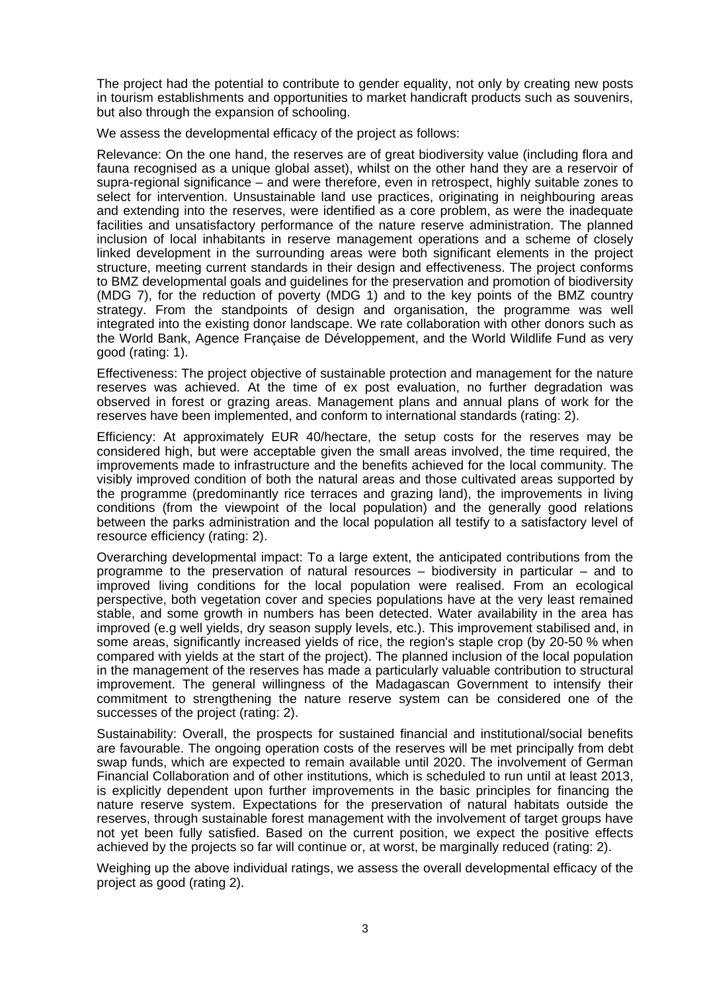The project had the potential to contribute to gender equality, not only by creating new posts in tourism establishments and opportunities to market handicraft products such as souvenirs, but also through the expansion of schooling.

We assess the developmental efficacy of the project as follows:

Relevance: On the one hand, the reserves are of great biodiversity value (including flora and fauna recognised as a unique global asset), whilst on the other hand they are a reservoir of supra-regional significance – and were therefore, even in retrospect, highly suitable zones to select for intervention. Unsustainable land use practices, originating in neighbouring areas and extending into the reserves, were identified as a core problem, as were the inadequate facilities and unsatisfactory performance of the nature reserve administration. The planned inclusion of local inhabitants in reserve management operations and a scheme of closely linked development in the surrounding areas were both significant elements in the project structure, meeting current standards in their design and effectiveness. The project conforms to BMZ developmental goals and guidelines for the preservation and promotion of biodiversity (MDG 7), for the reduction of poverty (MDG 1) and to the key points of the BMZ country strategy. From the standpoints of design and organisation, the programme was well integrated into the existing donor landscape. We rate collaboration with other donors such as the World Bank, Agence Française de Développement, and the World Wildlife Fund as very good (rating: 1).

Effectiveness: The project objective of sustainable protection and management for the nature reserves was achieved. At the time of ex post evaluation, no further degradation was observed in forest or grazing areas. Management plans and annual plans of work for the reserves have been implemented, and conform to international standards (rating: 2).

Efficiency: At approximately EUR 40/hectare, the setup costs for the reserves may be considered high, but were acceptable given the small areas involved, the time required, the improvements made to infrastructure and the benefits achieved for the local community. The visibly improved condition of both the natural areas and those cultivated areas supported by the programme (predominantly rice terraces and grazing land), the improvements in living conditions (from the viewpoint of the local population) and the generally good relations between the parks administration and the local population all testify to a satisfactory level of resource efficiency (rating: 2).

Overarching developmental impact: To a large extent, the anticipated contributions from the programme to the preservation of natural resources – biodiversity in particular – and to improved living conditions for the local population were realised. From an ecological perspective, both vegetation cover and species populations have at the very least remained stable, and some growth in numbers has been detected. Water availability in the area has improved (e.g well yields, dry season supply levels, etc.). This improvement stabilised and, in some areas, significantly increased yields of rice, the region's staple crop (by 20-50 % when compared with yields at the start of the project). The planned inclusion of the local population in the management of the reserves has made a particularly valuable contribution to structural improvement. The general willingness of the Madagascan Government to intensify their commitment to strengthening the nature reserve system can be considered one of the successes of the project (rating: 2).

Sustainability: Overall, the prospects for sustained financial and institutional/social benefits are favourable. The ongoing operation costs of the reserves will be met principally from debt swap funds, which are expected to remain available until 2020. The involvement of German Financial Collaboration and of other institutions, which is scheduled to run until at least 2013, is explicitly dependent upon further improvements in the basic principles for financing the nature reserve system. Expectations for the preservation of natural habitats outside the reserves, through sustainable forest management with the involvement of target groups have not yet been fully satisfied. Based on the current position, we expect the positive effects achieved by the projects so far will continue or, at worst, be marginally reduced (rating: 2).

Weighing up the above individual ratings, we assess the overall developmental efficacy of the project as good (rating 2).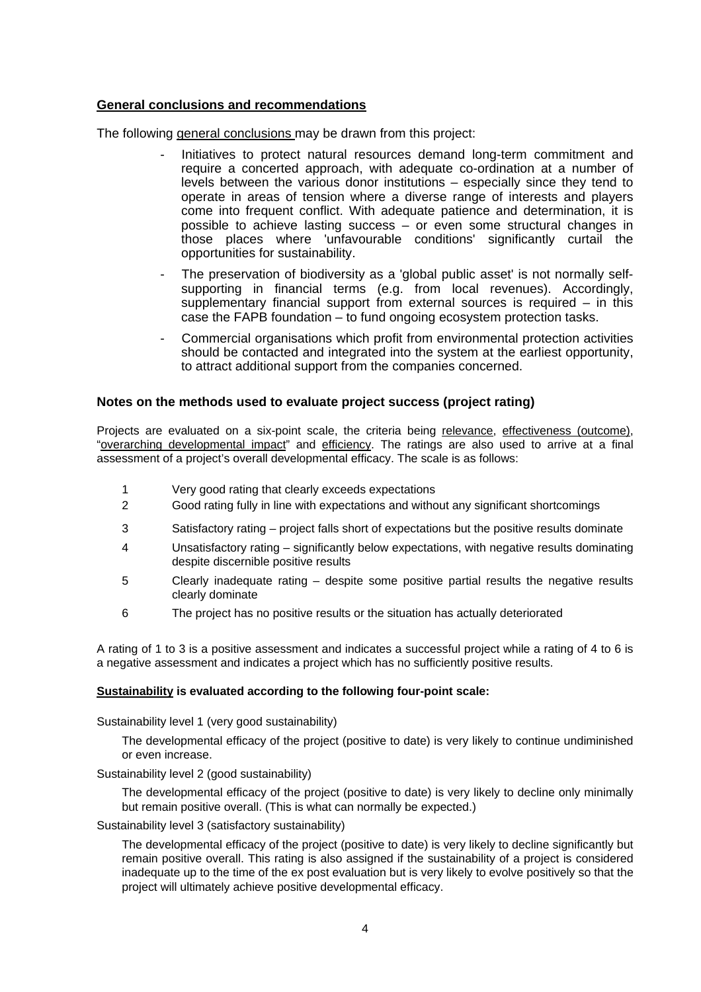# **General conclusions and recommendations**

The following general conclusions may be drawn from this project:

- Initiatives to protect natural resources demand long-term commitment and require a concerted approach, with adequate co-ordination at a number of levels between the various donor institutions – especially since they tend to operate in areas of tension where a diverse range of interests and players come into frequent conflict. With adequate patience and determination, it is possible to achieve lasting success – or even some structural changes in those places where 'unfavourable conditions' significantly curtail the opportunities for sustainability.
- The preservation of biodiversity as a 'global public asset' is not normally selfsupporting in financial terms (e.g. from local revenues). Accordingly, supplementary financial support from external sources is required – in this case the FAPB foundation – to fund ongoing ecosystem protection tasks.
- Commercial organisations which profit from environmental protection activities should be contacted and integrated into the system at the earliest opportunity, to attract additional support from the companies concerned.

# **Notes on the methods used to evaluate project success (project rating)**

Projects are evaluated on a six-point scale, the criteria being relevance, effectiveness (outcome), "overarching developmental impact" and efficiency. The ratings are also used to arrive at a final assessment of a project's overall developmental efficacy. The scale is as follows:

- 1 Very good rating that clearly exceeds expectations
- 2 Good rating fully in line with expectations and without any significant shortcomings
- 3 Satisfactory rating project falls short of expectations but the positive results dominate
- 4 Unsatisfactory rating significantly below expectations, with negative results dominating despite discernible positive results
- 5 Clearly inadequate rating despite some positive partial results the negative results clearly dominate
- 6 The project has no positive results or the situation has actually deteriorated

A rating of 1 to 3 is a positive assessment and indicates a successful project while a rating of 4 to 6 is a negative assessment and indicates a project which has no sufficiently positive results.

### **Sustainability is evaluated according to the following four-point scale:**

Sustainability level 1 (very good sustainability)

The developmental efficacy of the project (positive to date) is very likely to continue undiminished or even increase.

### Sustainability level 2 (good sustainability)

The developmental efficacy of the project (positive to date) is very likely to decline only minimally but remain positive overall. (This is what can normally be expected.)

#### Sustainability level 3 (satisfactory sustainability)

The developmental efficacy of the project (positive to date) is very likely to decline significantly but remain positive overall. This rating is also assigned if the sustainability of a project is considered inadequate up to the time of the ex post evaluation but is very likely to evolve positively so that the project will ultimately achieve positive developmental efficacy.